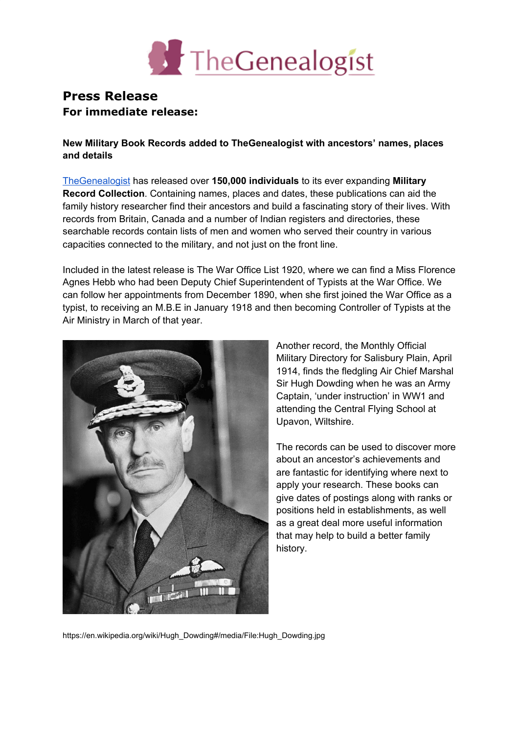

## **Press Release For immediate release:**

**New Military Book Records added to TheGenealogist with ancestors' names, places and details**

[TheGenealogist](https://www.thegenealogist.co.uk/) has released over **150,000 individuals** to its ever expanding **Military Record Collection**. Containing names, places and dates, these publications can aid the family history researcher find their ancestors and build a fascinating story of their lives. With records from Britain, Canada and a number of Indian registers and directories, these searchable records contain lists of men and women who served their country in various capacities connected to the military, and not just on the front line.

Included in the latest release is The War Office List 1920, where we can find a Miss Florence Agnes Hebb who had been Deputy Chief Superintendent of Typists at the War Office. We can follow her appointments from December 1890, when she first joined the War Office as a typist, to receiving an M.B.E in January 1918 and then becoming Controller of Typists at the Air Ministry in March of that year.



Another record, the Monthly Official Military Directory for Salisbury Plain, April 1914, finds the fledgling Air Chief Marshal Sir Hugh Dowding when he was an Army Captain, 'under instruction' in WW1 and attending the Central Flying School at Upavon, Wiltshire.

The records can be used to discover more about an ancestor's achievements and are fantastic for identifying where next to apply your research. These books can give dates of postings along with ranks or positions held in establishments, as well as a great deal more useful information that may help to build a better family history.

https://en.wikipedia.org/wiki/Hugh\_Dowding#/media/File:Hugh\_Dowding.jpg